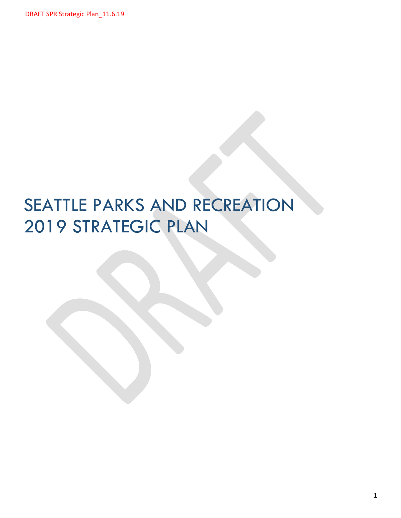# SEATTLE PARKS AND RECREATION 2019 STRATEGIC PLAN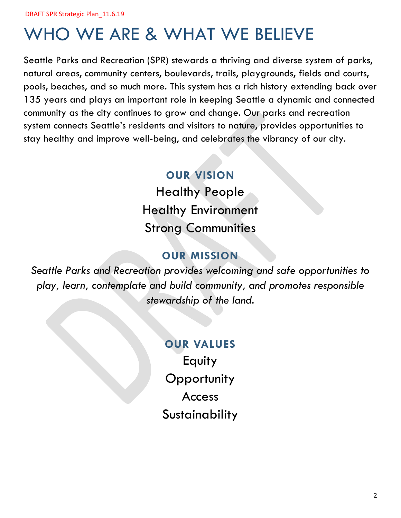# WHO WE ARE & WHAT WE BELIEVE

Seattle Parks and Recreation (SPR) stewards a thriving and diverse system of parks, natural areas, community centers, boulevards, trails, playgrounds, fields and courts, pools, beaches, and so much more. This system has a rich history extending back over 135 years and plays an important role in keeping Seattle a dynamic and connected community as the city continues to grow and change. Our parks and recreation system connects Seattle's residents and visitors to nature, provides opportunities to stay healthy and improve well-being, and celebrates the vibrancy of our city.

# **OUR VISION**

Healthy People Healthy Environment Strong Communities

# **OUR MISSION**

*Seattle Parks and Recreation provides welcoming and safe opportunities to play, learn, contemplate and build community, and promotes responsible stewardship of the land.*

# **OUR VALUES**

Equity **Opportunity** Access **Sustainability**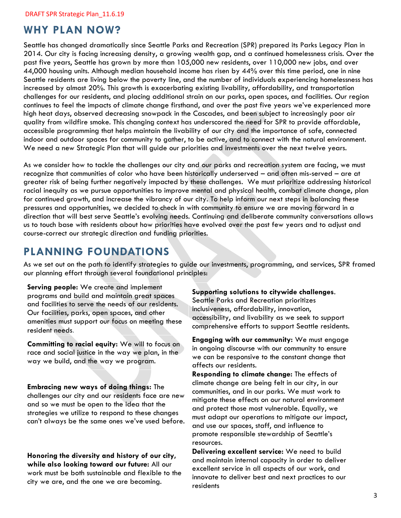### **WHY PLAN NOW?**

Seattle has changed dramatically since Seattle Parks and Recreation (SPR) prepared its Parks Legacy Plan in 2014. Our city is facing increasing density, a growing wealth gap, and a continued homelessness crisis. Over the past five years, Seattle has grown by more than 105,000 new residents, over 110,000 new jobs, and over 44,000 housing units. Although median household income has risen by 44% over this time period, one in nine Seattle residents are living below the poverty line, and the number of individuals experiencing homelessness has increased by almost 20%. This growth is exacerbating existing livability, affordability, and transportation challenges for our residents, and placing additional strain on our parks, open spaces, and facilities. Our region continues to feel the impacts of climate change firsthand, and over the past five years we've experienced more high heat days, observed decreasing snowpack in the Cascades, and been subject to increasingly poor air quality from wildfire smoke. This changing context has underscored the need for SPR to provide affordable, accessible programming that helps maintain the livability of our city and the importance of safe, connected indoor and outdoor spaces for community to gather, to be active, and to connect with the natural environment. We need a new Strategic Plan that will guide our priorities and investments over the next twelve years.

As we consider how to tackle the challenges our city and our parks and recreation system are facing, we must recognize that communities of color who have been historically underserved – and often mis-served – are at greater risk of being further negatively impacted by these challenges. We must prioritize addressing historical racial inequity as we pursue opportunities to improve mental and physical health, combat climate change, plan for continued growth, and increase the vibrancy of our city. To help inform our next steps in balancing these pressures and opportunities, we decided to check in with community to ensure we are moving forward in a direction that will best serve Seattle's evolving needs. Continuing and deliberate community conversations allows us to touch base with residents about how priorities have evolved over the past few years and to adjust and course-correct our strategic direction and funding priorities.

### **PLANNING FOUNDATIONS**

As we set out on the path to identify strategies to guide our investments, programming, and services, SPR framed our planning effort through several foundational principles:

**Serving people:** We create and implement programs and build and maintain great spaces and facilities to serve the needs of our residents. Our facilities, parks, open spaces, and other amenities must support our focus on meeting these resident needs.

**Committing to racial equity:** We will to focus on race and social justice in the way we plan, in the way we build, and the way we program.

**Embracing new ways of doing things:** The challenges our city and our residents face are new and so we must be open to the idea that the strategies we utilize to respond to these changes can't always be the same ones we've used before.

**Honoring the diversity and history of our city, while also looking toward our future:** All our work must be both sustainable and flexible to the city we are, and the one we are becoming.

**Supporting solutions to citywide challenges**. Seattle Parks and Recreation prioritizes inclusiveness, affordability, innovation, accessibility, and livability as we seek to support comprehensive efforts to support Seattle residents.

**Engaging with our community:** We must engage in ongoing discourse with our community to ensure we can be responsive to the constant change that affects our residents.

**Responding to climate change:** The effects of climate change are being felt in our city, in our communities, and in our parks. We must work to mitigate these effects on our natural environment and protect those most vulnerable. Equally, we must adapt our operations to mitigate our impact, and use our spaces, staff, and influence to promote responsible stewardship of Seattle's resources.

**Delivering excellent service:** We need to build and maintain internal capacity in order to deliver excellent service in all aspects of our work, and innovate to deliver best and next practices to our residents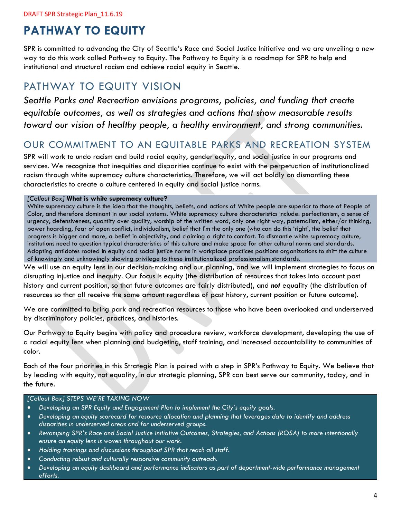# **PATHWAY TO EQUITY**

SPR is committed to advancing the City of Seattle's Race and Social Justice Initiative and we are unveiling a new way to do this work called Pathway to Equity. The Pathway to Equity is a roadmap for SPR to help end institutional and structural racism and achieve racial equity in Seattle.

# PATHWAY TO EQUITY VISION

*Seattle Parks and Recreation envisions programs, policies, and funding that create equitable outcomes, as well as strategies and actions that show measurable results toward our vision of healthy people, a healthy environment, and strong communities.*

### OUR COMMITMENT TO AN EQUITABLE PARKS AND RECREATION SYSTEM

SPR will work to undo racism and build racial equity, gender equity, and social justice in our programs and services. We recognize that inequities and disparities continue to exist with the perpetuation of institutionalized racism through white supremacy culture characteristics. Therefore, we will act boldly on dismantling these characteristics to create a culture centered in equity and social justice norms.

#### *[Callout Box]* **What is white supremacy culture?**

White supremacy culture is the idea that the thoughts, beliefs, and actions of White people are superior to those of People of Color, and therefore dominant in our social systems. White supremacy culture characteristics include: perfectionism, a sense of urgency, defensiveness, quantity over quality, worship of the written word, only one right way, paternalism, either/or thinking, power hoarding, fear of open conflict, individualism, belief that I'm the only one (who can do this 'right', the belief that progress is bigger and more, a belief in objectivity, and claiming a right to comfort. To dismantle white supremacy culture, institutions need to question typical characteristics of this culture and make space for other cultural norms and standards. Adopting antidotes rooted in equity and social justice norms in workplace practices positions organizations to shift the culture of knowingly and unknowingly showing privilege to these institutionalized professionalism standards.

We will use an equity lens in our decision-making and our planning, and we will implement strategies to focus on disrupting injustice and inequity. Our focus is equity (the distribution of resources that takes into account past history and current position, so that future outcomes are fairly distributed), and *not* equality (the distribution of resources so that all receive the same amount regardless of past history, current position or future outcome).

We are committed to bring park and recreation resources to those who have been overlooked and underserved by discriminatory policies, practices, and histories.

Our Pathway to Equity begins with policy and procedure review, workforce development, developing the use of a racial equity lens when planning and budgeting, staff training, and increased accountability to communities of color.

Each of the four priorities in this Strategic Plan is paired with a step in SPR's Pathway to Equity. We believe that by leading with equity, not equality, in our strategic planning, SPR can best serve our community, today, and in the future.

#### *[Callout Box] STEPS WE'RE TAKING NOW*

- *Developing an SPR Equity and Engagement Plan to implement the City's equity goals.*
- *Developing an equity scorecard for resource allocation and planning that leverages data to identify and address disparities in underserved areas and for underserved groups.*
- *Revamping SPR's Race and Social Justice Initiative Outcomes, Strategies, and Actions (ROSA) to more intentionally ensure an equity lens is woven throughout our work.*
- *Holding trainings and discussions throughout SPR that reach all staff.*
- *Conducting robust and culturally responsive community outreach.*
- *Developing an equity dashboard and performance indicators as part of department-wide performance management efforts.*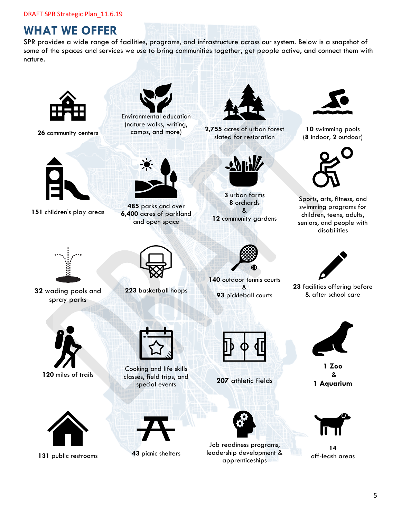# **WHAT WE OFFER**

SPR provides a wide range of facilities, programs, and infrastructure across our system. Below is a snapshot of some of the spaces and services we use to bring communities together, get people active, and connect them with nature.



**26** community centers



**151** children's play areas



Environmental education (nature walks, writing,



**485** parks and over **6,400** acres of parkland and open space



camps, and more) **2,755** acres of urban forest slated for restoration



**3** urban farms **8** orchards & **12** community gardens



**140** outdoor tennis courts & **93** pickleball courts



**10** swimming pools (**8** indoor, **2** outdoor)



Sports, arts, fitness, and swimming programs for children, teens, adults, seniors, and people with disabilities



**32** wading pools and spray parks



**223** basketball hoops



**120** miles of trails



**131** public restrooms **43** picnic shelters



Cooking and life skills classes, field trips, and special events **207** athletic fields







Job readiness programs, leadership development & apprenticeships



**23** facilities offering before & after school care

**1 Zoo & 1 Aquarium**



**14** off-leash areas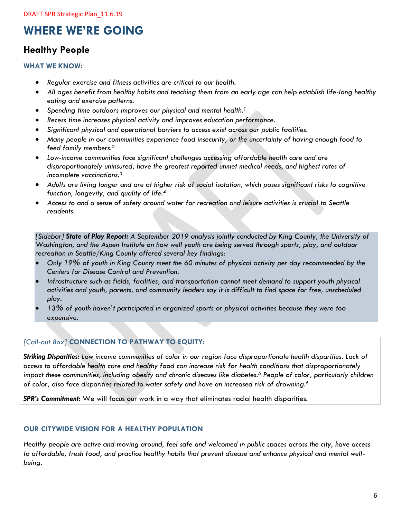# **WHERE WE'RE GOING**

### **Healthy People**

#### **WHAT WE KNOW:**

- *Regular exercise and fitness activities are critical to our health.*
- *All ages benefit from healthy habits and teaching them from an early age can help establish life-long healthy eating and exercise patterns.*
- *Spending time outdoors improves our physical and mental health. 1*
- *Recess time increases physical activity and improves education performance.*
- *Significant physical and operational barriers to access exist across our public facilities.*
- *Many people in our communities experience food insecurity, or the uncertainty of having enough food to feed family members.<sup>2</sup>*
- *Low-income communities face significant challenges accessing affordable health care and are disproportionately uninsured, have the greatest reported unmet medical needs, and highest rates of incomplete vaccinations.<sup>3</sup>*
- *Adults are living longer and are at higher risk of social isolation, which poses significant risks to cognitive function, longevity, and quality of life.<sup>4</sup>*
- *Access to and a sense of safety around water for recreation and leisure activities is crucial to Seattle residents.*

*[Sidebar] State of Play Report: A September 2019 analysis jointly conducted by King County, the University of Washington, and the Aspen Institute on how well youth are being served through sports, play, and outdoor recreation in Seattle/King County offered several key findings:*

- *Only 19% of youth in King County meet the 60 minutes of physical activity per day recommended by the Centers for Disease Control and Prevention.*
- *Infrastructure such as fields, facilities, and transportation cannot meet demand to support youth physical activities and youth, parents, and community leaders say it is difficult to find space for free, unscheduled play.*
- *13% of youth haven't participated in organized sports or physical activities because they were too expensive.*

#### *[Call-out Box]* **CONNECTION TO PATHWAY TO EQUITY:**

*Striking Disparities: Low income communities of color in our region face disproportionate health disparities. Lack of access to affordable health care and healthy food can increase risk for health conditions that disproportionately impact these communities, including obesity and chronic diseases like diabetes. <sup>5</sup> People of color, particularly children of color, also face disparities related to water safety and have an increased risk of drowning. 6*

*SPR's Commitment:* We will focus our work in a way that eliminates racial health disparities.

#### **OUR CITYWIDE VISION FOR A HEALTHY POPULATION**

*Healthy people are active and moving around, feel safe and welcomed in public spaces across the city, have access to affordable, fresh food, and practice healthy habits that prevent disease and enhance physical and mental wellbeing.*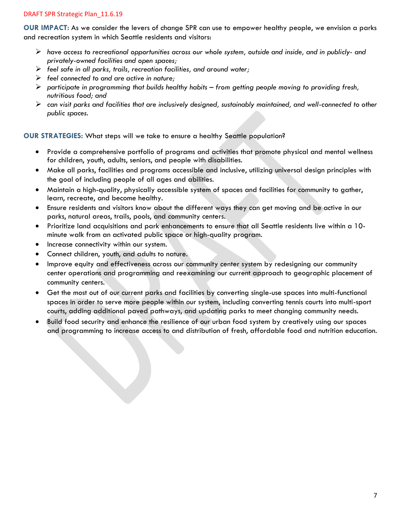**OUR IMPACT:** As we consider the levers of change SPR can use to empower healthy people, we envision a parks and recreation system in which Seattle residents and visitors:

- ➢ *have access to recreational opportunities across our whole system, outside and inside, and in publicly- and privately-owned facilities and open spaces;*
- ➢ *feel safe in all parks, trails, recreation facilities, and around water;*
- ➢ *feel connected to and are active in nature;*
- ➢ *participate in programming that builds healthy habits – from getting people moving to providing fresh, nutritious food; and*
- ➢ *can visit parks and facilities that are inclusively designed, sustainably maintained, and well-connected to other public spaces.*

**OUR STRATEGIES:** What steps will we take to ensure a healthy Seattle population?

- Provide a comprehensive portfolio of programs and activities that promote physical and mental wellness for children, youth, adults, seniors, and people with disabilities.
- Make all parks, facilities and programs accessible and inclusive, utilizing universal design principles with the goal of including people of all ages and abilities.
- Maintain a high-quality, physically accessible system of spaces and facilities for community to gather, learn, recreate, and become healthy.
- Ensure residents and visitors know about the different ways they can get moving and be active in our parks, natural areas, trails, pools, and community centers.
- Prioritize land acquisitions and park enhancements to ensure that all Seattle residents live within a 10 minute walk from an activated public space or high-quality program.
- Increase connectivity within our system.
- Connect children, youth, and adults to nature.
- Improve equity and effectiveness across our community center system by redesigning our community center operations and programming and reexamining our current approach to geographic placement of community centers.
- Get the most out of our current parks and facilities by converting single-use spaces into multi-functional spaces in order to serve more people within our system, including converting tennis courts into multi-sport courts, adding additional paved pathways, and updating parks to meet changing community needs.
- Build food security and enhance the resilience of our urban food system by creatively using our spaces and programming to increase access to and distribution of fresh, affordable food and nutrition education.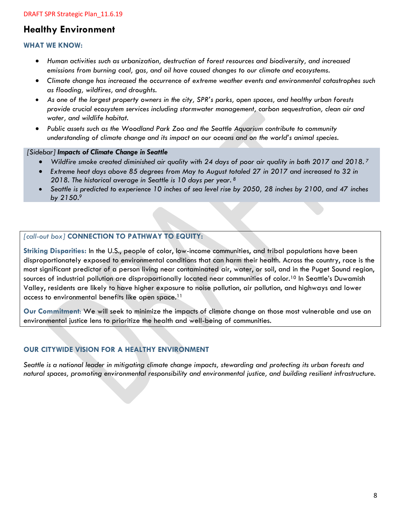### **Healthy Environment**

#### **WHAT WE KNOW:**

- *Human activities such as urbanization, destruction of forest resources and biodiversity, and increased emissions from burning coal, gas, and oil have caused changes to our climate and ecosystems.*
- *Climate change has increased the occurrence of extreme weather events and environmental catastrophes such as flooding, wildfires, and droughts.*
- *As one of the largest property owners in the city, SPR's parks, open spaces, and healthy urban forests provide crucial ecosystem services including stormwater management, carbon sequestration, clean air and water, and wildlife habitat.*
- *Public assets such as the Woodland Park Zoo and the Seattle Aquarium contribute to community understanding of climate change and its impact on our oceans and on the world's animal species.*

#### *[Sidebar] Impacts of Climate Change in Seattle*

- *Wildfire smoke created diminished air quality with 24 days of poor air quality in both 2017 and 2018. <sup>7</sup>*
- *Extreme heat days above 85 degrees from May to August totaled 27 in 2017 and increased to 32 in 2018. The historical average in Seattle is 10 days per year. <sup>8</sup>*
- *Seattle is predicted to experience 10 inches of sea level rise by 2050, 28 inches by 2100, and 47 inches by 2150.<sup>9</sup>*

#### *[call-out box]* **CONNECTION TO PATHWAY TO EQUITY:**

**Striking Disparities:** In the U.S., people of color, low-income communities, and tribal populations have been disproportionately exposed to environmental conditions that can harm their health. Across the country, race is the most significant predictor of a person living near contaminated air, water, or soil, and in the Puget Sound region, sources of industrial pollution are disproportionally located near communities of color.<sup>10</sup> In Seattle's Duwamish Valley, residents are likely to have higher exposure to noise pollution, air pollution, and highways and lower access to environmental benefits like open space.<sup>11</sup>

**Our Commitment**: We will seek to minimize the impacts of climate change on those most vulnerable and use an environmental justice lens to prioritize the health and well-being of communities.

#### **OUR CITYWIDE VISION FOR A HEALTHY ENVIRONMENT**

*Seattle is a national leader in mitigating climate change impacts, stewarding and protecting its urban forests and natural spaces, promoting environmental responsibility and environmental justice, and building resilient infrastructure.*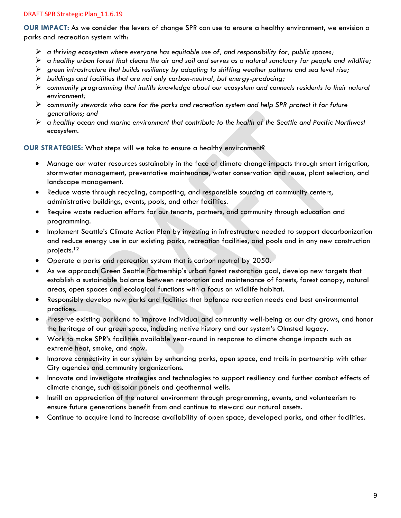**OUR IMPACT:** As we consider the levers of change SPR can use to ensure a healthy environment, we envision a parks and recreation system with:

- ➢ *a thriving ecosystem where everyone has equitable use of, and responsibility for, public spaces;*
- ➢ *a healthy urban forest that cleans the air and soil and serves as a natural sanctuary for people and wildlife;*
- ➢ *green infrastructure that builds resiliency by adapting to shifting weather patterns and sea level rise;*
- ➢ *buildings and facilities that are not only carbon-neutral, but energy-producing;*
- ➢ *community programming that instills knowledge about our ecosystem and connects residents to their natural environment;*
- ➢ *community stewards who care for the parks and recreation system and help SPR protect it for future generations; and*
- ➢ *a healthy ocean and marine environment that contribute to the health of the Seattle and Pacific Northwest ecosystem.*

**OUR STRATEGIES:** What steps will we take to ensure a healthy environment?

- Manage our water resources sustainably in the face of climate change impacts through smart irrigation, stormwater management, preventative maintenance, water conservation and reuse, plant selection, and landscape management.
- Reduce waste through recycling, composting, and responsible sourcing at community centers, administrative buildings, events, pools, and other facilities.
- Require waste reduction efforts for our tenants, partners, and community through education and programming.
- Implement Seattle's Climate Action Plan by investing in infrastructure needed to support decarbonization and reduce energy use in our existing parks, recreation facilities, and pools and in any new construction projects.<sup>12</sup>
- Operate a parks and recreation system that is carbon neutral by 2050.
- As we approach Green Seattle Partnership's urban forest restoration goal, develop new targets that establish a sustainable balance between restoration and maintenance of forests, forest canopy, natural areas, open spaces and ecological functions with a focus on wildlife habitat.
- Responsibly develop new parks and facilities that balance recreation needs and best environmental practices.
- Preserve existing parkland to improve individual and community well-being as our city grows, and honor the heritage of our green space, including native history and our system's Olmsted legacy.
- Work to make SPR's facilities available year-round in response to climate change impacts such as extreme heat, smoke, and snow.
- Improve connectivity in our system by enhancing parks, open space, and trails in partnership with other City agencies and community organizations.
- Innovate and investigate strategies and technologies to support resiliency and further combat effects of climate change, such as solar panels and geothermal wells.
- Instill an appreciation of the natural environment through programming, events, and volunteerism to ensure future generations benefit from and continue to steward our natural assets.
- Continue to acquire land to increase availability of open space, developed parks, and other facilities.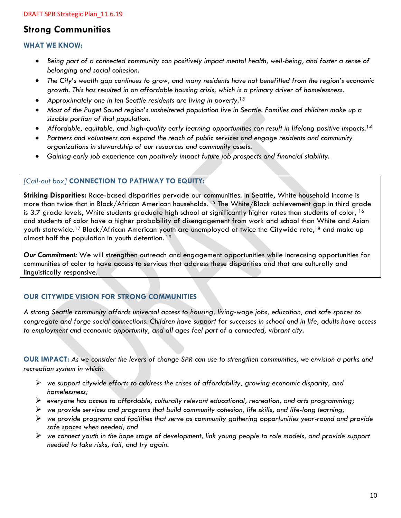### **Strong Communities**

#### **WHAT WE KNOW:**

- *Being part of a connected community can positively impact mental health, well-being, and foster a sense of belonging and social cohesion.*
- *The City's wealth gap continues to grow, and many residents have not benefitted from the region's economic growth. This has resulted in an affordable housing crisis, which is a primary driver of homelessness.*
- *Approximately one in ten Seattle residents are living in poverty.<sup>13</sup>*
- *Most of the Puget Sound region's unsheltered population live in Seattle. Families and children make up a sizable portion of that population.*
- *Affordable, equitable, and high-quality early learning opportunities can result in lifelong positive impacts.<sup>14</sup>*
- *Partners and volunteers can expand the reach of public services and engage residents and community organizations in stewardship of our resources and community assets.*
- *Gaining early job experience can positively impact future job prospects and financial stability.*

#### *[Call-out box]* **CONNECTION TO PATHWAY TO EQUITY:**

**Striking Disparities:** Race-based disparities pervade our communities. In Seattle, White household income is more than twice that in Black/African American households. <sup>15</sup> The White/Black achievement gap in third grade is 3.7 grade levels, White students graduate high school at significantly higher rates than students of color, <sup>16</sup> and students of color have a higher probability of disengagement from work and school than White and Asian youth statewide.<sup>17</sup> Black/African American youth are unemployed at twice the Citywide rate,<sup>18</sup> and make up almost half the population in youth detention. <sup>19</sup>

*Our Commitment:* We will strengthen outreach and engagement opportunities while increasing opportunities for communities of color to have access to services that address these disparities and that are culturally and linguistically responsive.

#### **OUR CITYWIDE VISION FOR STRONG COMMUNITIES**

*A strong Seattle community affords universal access to housing, living-wage jobs, education, and safe spaces to congregate and forge social connections. Children have support for successes in school and in life, adults have access*  to employment and economic opportunity, and all ages feel part of a connected, vibrant city.

**OUR IMPACT:** *As we consider the levers of change SPR can use to strengthen communities, we envision a parks and recreation system in which:*

- ➢ *we support citywide efforts to address the crises of affordability, growing economic disparity, and homelessness;*
- ➢ *everyone has access to affordable, culturally relevant educational, recreation, and arts programming;*
- ➢ *we provide services and programs that build community cohesion, life skills, and life-long learning;*
- ➢ *we provide programs and facilities that serve as community gathering opportunities year-round and provide safe spaces when needed; and*
- ➢ *we connect youth in the hope stage of development, link young people to role models, and provide support needed to take risks, fail, and try again.*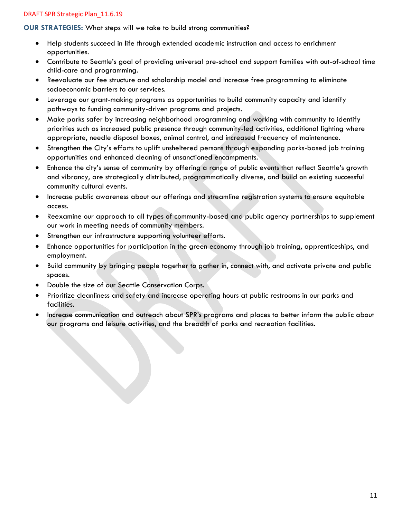#### **OUR STRATEGIES:** What steps will we take to build strong communities?

- Help students succeed in life through extended academic instruction and access to enrichment opportunities.
- Contribute to Seattle's goal of providing universal pre-school and support families with out-of-school time child-care and programming.
- Reevaluate our fee structure and scholarship model and increase free programming to eliminate socioeconomic barriers to our services.
- Leverage our grant-making programs as opportunities to build community capacity and identify pathways to funding community-driven programs and projects.
- Make parks safer by increasing neighborhood programming and working with community to identify priorities such as increased public presence through community-led activities, additional lighting where appropriate, needle disposal boxes, animal control, and increased frequency of maintenance.
- Strengthen the City's efforts to uplift unsheltered persons through expanding parks-based job training opportunities and enhanced cleaning of unsanctioned encampments.
- Enhance the city's sense of community by offering a range of public events that reflect Seattle's growth and vibrancy, are strategically distributed, programmatically diverse, and build on existing successful community cultural events.
- Increase public awareness about our offerings and streamline registration systems to ensure equitable access.
- Reexamine our approach to all types of community-based and public agency partnerships to supplement our work in meeting needs of community members.
- Strengthen our infrastructure supporting volunteer efforts.
- Enhance opportunities for participation in the green economy through job training, apprenticeships, and employment.
- Build community by bringing people together to gather in, connect with, and activate private and public spaces.
- Double the size of our Seattle Conservation Corps.
- Prioritize cleanliness and safety and increase operating hours at public restrooms in our parks and facilities.
- Increase communication and outreach about SPR's programs and places to better inform the public about our programs and leisure activities, and the breadth of parks and recreation facilities.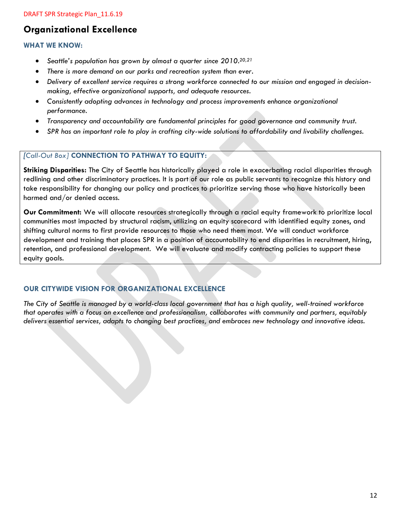### **Organizational Excellence**

#### **WHAT WE KNOW:**

- *Seattle's population has grown by almost a quarter since 2010. 20,21*
- *There is more demand on our parks and recreation system than ever.*
- *Delivery of excellent service requires a strong workforce connected to our mission and engaged in decisionmaking, effective organizational supports, and adequate resources.*
- *Consistently adopting advances in technology and process improvements enhance organizational performance.*
- *Transparency and accountability are fundamental principles for good governance and community trust.*
- *SPR has an important role to play in crafting city-wide solutions to affordability and livability challenges.*

#### *[Call-Out Box]* **CONNECTION TO PATHWAY TO EQUITY:**

**Striking Disparities:** The City of Seattle has historically played a role in exacerbating racial disparities through redlining and other discriminatory practices. It is part of our role as public servants to recognize this history and take responsibility for changing our policy and practices to prioritize serving those who have historically been harmed and/or denied access.

**Our Commitment:** We will allocate resources strategically through a racial equity framework to prioritize local communities most impacted by structural racism, utilizing an equity scorecard with identified equity zones, and shifting cultural norms to first provide resources to those who need them most. We will conduct workforce development and training that places SPR in a position of accountability to end disparities in recruitment, hiring, retention, and professional development. We will evaluate and modify contracting policies to support these equity goals.

#### **OUR CITYWIDE VISION FOR ORGANIZATIONAL EXCELLENCE**

*The City of Seattle is managed by a world-class local government that has a high quality, well-trained workforce that operates with a focus on excellence and professionalism, collaborates with community and partners, equitably delivers essential services, adapts to changing best practices, and embraces new technology and innovative ideas.*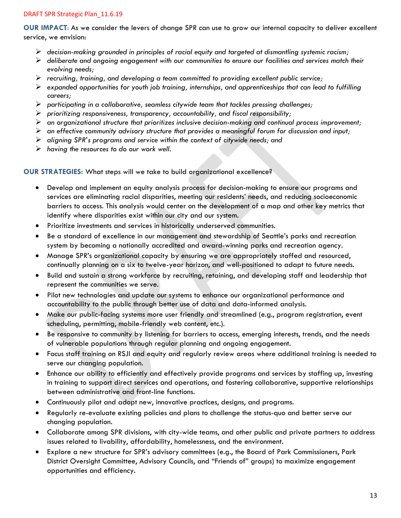**OUR IMPACT**: As we consider the levers of change SPR can use to grow our internal capacity to deliver excellent service, we envision:

- ➢ *decision-making grounded in principles of racial equity and targeted at dismantling systemic racism;*
- ➢ *deliberate and ongoing engagement with our communities to ensure our facilities and services match their evolving needs;*
- ➢ *recruiting, training, and developing a team committed to providing excellent public service;*
- ➢ *expanded opportunities for youth job training, internships, and apprenticeships that can lead to fulfilling careers;*
- ➢ *participating in a collaborative, seamless citywide team that tackles pressing challenges;*
- ➢ *prioritizing responsiveness, transparency, accountability, and fiscal responsibility;*
- ➢ *an organizational structure that prioritizes inclusive decision-making and continual process improvement;*
- ➢ *an effective community advisory structure that provides a meaningful forum for discussion and input;*
- ➢ *aligning SPR's programs and service within the context of citywide needs; and*
- ➢ *having the resources to do our work well.*

**OUR STRATEGIES:** What steps will we take to build organizational excellence?

- Develop and implement an equity analysis process for decision-making to ensure our programs and services are eliminating racial disparities, meeting our residents' needs, and reducing socioeconomic barriers to access. This analysis would center on the development of a map and other key metrics that identify where disparities exist within our city and our system.
- Prioritize investments and services in historically underserved communities.
- Be a standard of excellence in our management and stewardship of Seattle's parks and recreation system by becoming a nationally accredited and award-winning parks and recreation agency.
- Manage SPR's organizational capacity by ensuring we are appropriately staffed and resourced, continually planning on a six to twelve-year horizon, and well-positioned to adapt to future needs.
- Build and sustain a strong workforce by recruiting, retaining, and developing staff and leadership that represent the communities we serve.
- Pilot new technologies and update our systems to enhance our organizational performance and accountability to the public through better use of data and data-informed analysis.
- Make our public-facing systems more user friendly and streamlined (e.g., program registration, event scheduling, permitting, mobile-friendly web content, etc.).
- Be responsive to community by listening for barriers to access, emerging interests, trends, and the needs of vulnerable populations through regular planning and ongoing engagement.
- Focus staff training on RSJI and equity and regularly review areas where additional training is needed to serve our changing population.
- Enhance our ability to efficiently and effectively provide programs and services by staffing up, investing in training to support direct services and operations, and fostering collaborative, supportive relationships between administrative and front-line functions.
- Continuously pilot and adopt new, innovative practices, designs, and programs.
- Regularly re-evaluate existing policies and plans to challenge the status-quo and better serve our changing population.
- Collaborate among SPR divisions, with city-wide teams, and other public and private partners to address issues related to livability, affordability, homelessness, and the environment.
- Explore a new structure for SPR's advisory committees (e.g., the Board of Park Commissioners, Park District Oversight Committee, Advisory Councils, and "Friends of" groups) to maximize engagement opportunities and efficiency.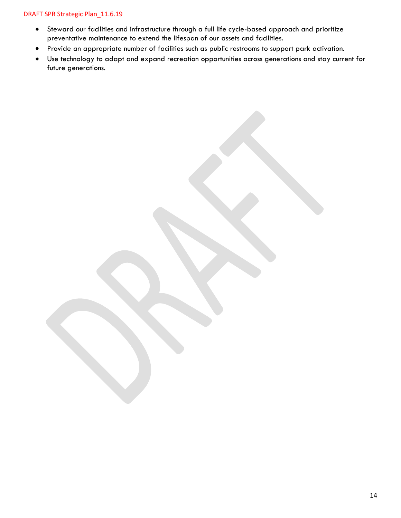- Steward our facilities and infrastructure through a full life cycle-based approach and prioritize preventative maintenance to extend the lifespan of our assets and facilities.
- Provide an appropriate number of facilities such as public restrooms to support park activation.
- Use technology to adapt and expand recreation opportunities across generations and stay current for future generations.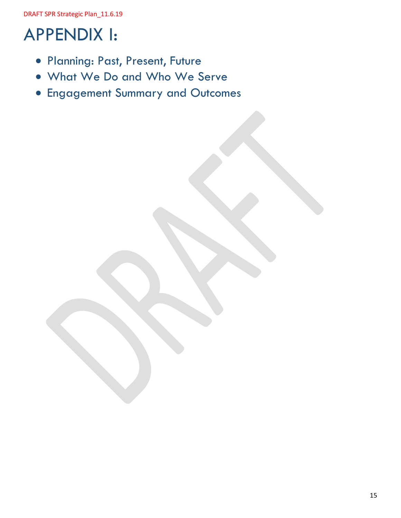# APPENDIX I:

- Planning: Past, Present, Future
- What We Do and Who We Serve
- Engagement Summary and Outcomes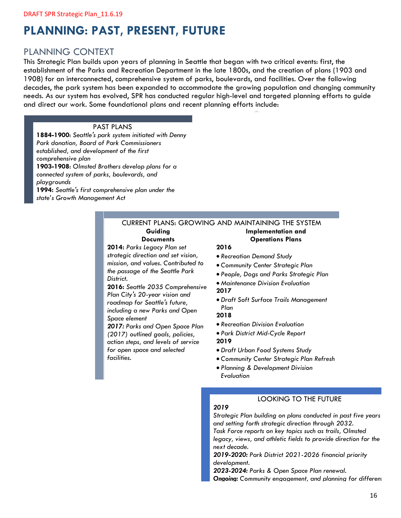# **PLANNING: PAST, PRESENT, FUTURE**

### PLANNING CONTEXT

This Strategic Plan builds upon years of planning in Seattle that began with two critical events: first, the establishment of the Parks and Recreation Department in the late 1800s, and the creation of plans (1903 and 1908) for an interconnected, comprehensive system of parks, boulevards, and facilities. Over the following decades, the park system has been expanded to accommodate the growing population and changing community needs. As our system has evolved, SPR has conducted regular high-level and targeted planning efforts to guide and direct our work. Some foundational plans and recent planning efforts include:

#### PAST PLANS

**1884-1900**: *Seattle's park system initiated with Denny Park donation, Board of Park Commissioners established, and development of the first comprehensive plan* **1903-1908**: *Olmsted Brothers develop plans for a connected system of parks, boulevards, and playgrounds* **1994:** *Seattle's first comprehensive plan under the state's Growth Management Act*

#### CURRENT PLANS: GROWING AND MAINTAINING THE SYSTEM **Guiding Documents Implementation and Operations Plans**

**2014:** *Parks Legacy Plan set strategic direction and set vision, mission, and values. Contributed to the passage of the Seattle Park District.*

**2016:** *Seattle 2035 Comprehensive Plan City's 20-year vision and roadmap for Seattle's future, including a new Parks and Open Space element*

*2017: Parks and Open Space Plan (2017) outlined goals, policies, action steps, and levels of service for open space and selected facilities.* 

#### **2016**

- *Recreation Demand Study*
- *Community Center Strategic Plan*
- *People, Dogs and Parks Strategic Plan*
- *Maintenance Division Evaluation*
- **2017**
- *Draft Soft Surface Trails Management Plan*
- **2018**
- *Recreation Division Evaluation*
- *Park District Mid-Cycle Report*

**2019**

- *Draft Urban Food Systems Study*
- *Community Center Strategic Plan Refresh*
- *Planning & Development Division Evaluation*

#### LOOKING TO THE FUTURE

#### *2019*

*Strategic Plan building on plans conducted in past five years and setting forth strategic direction through 2032. Task Force reports on key topics such as trails, Olmsted legacy, views, and athletic fields to provide direction for the next decade.*

*2019-2020: Park District 2021-2026 financial priority development.*

*2023-2024: Parks & Open Space Plan renewal.* **Ongoing:** Community engagement, and planning for different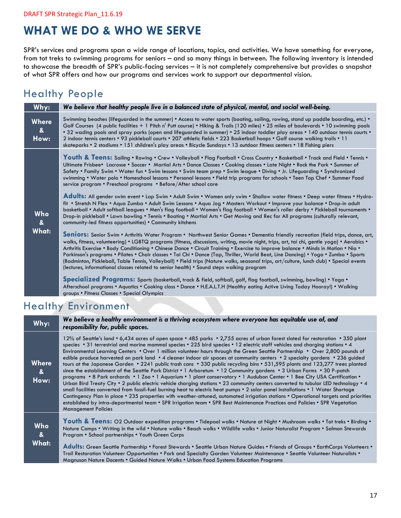# **WHAT WE DO & WHO WE SERVE**

SPR's services and programs span a wide range of locations, topics, and activities. We have something for everyone, from tot treks to swimming programs for seniors – and so many things in between. The following inventory is intended to showcase the breadth of SPR's public-facing services – it is not completely comprehensive but provides a snapshot of what SPR offers and how our programs and services work to support our departmental vision.

# Healthy People

| Why:                                          | We believe that healthy people live in a balanced state of physical, mental, and social well-being.                                                                                                                                                                                                                                                                                                                                                                                                                                                                                                                                                                                                                                                                                               |
|-----------------------------------------------|---------------------------------------------------------------------------------------------------------------------------------------------------------------------------------------------------------------------------------------------------------------------------------------------------------------------------------------------------------------------------------------------------------------------------------------------------------------------------------------------------------------------------------------------------------------------------------------------------------------------------------------------------------------------------------------------------------------------------------------------------------------------------------------------------|
| <b>Where</b><br>$\boldsymbol{\alpha}$<br>How: | Swimming beaches (lifeguarded in the summer) • Access to water sports (boating, sailing, rowing, stand up paddle boarding, etc.) •<br>Golf Courses (4 public facilities + 1 Pitch n' Putt course) • Hiking & Trails (120 miles) • 25 miles of boulevards • 10 swimming pools<br>• 32 wading pools and spray parks (open and lifeguarded in summer) • 25 indoor toddler play areas • 140 outdoor tennis courts •<br>2 indoor tennis centers • 93 pickleball courts • 207 athletic fields • 223 Basketball hoops • Golf course walking trails • 11<br>skateparks • 2 stadiums • 151 children's play areas • Bicycle Sundays • 13 outdoor fitness centers • 18 Fishing piers                                                                                                                         |
| Who<br>$\boldsymbol{\alpha}$<br>What:         | Youth & Teens: Sailing • Rowing • Crew • Volleyball • Flag Football • Cross Country • Basketball • Track and Field • Tennis •<br>Ultimate Frisbee <sup>•</sup> Lacrosse • Soccer • Martial Arts • Dance Classes • Cooking classes • Late Night • Rock the Park • Summer of<br>Safety • Family Swim • Water fun • Swim lessons • Swim team prep • Swim league • Diving • Jr. Lifeguarding • Synchronized<br>swimming . Water polo . Homeschool lessons . Personal lessons . Field trip programs for schools . Teen Top Chef . Summer Food<br>service program • Preschool programs • Before/After school care<br>Adults: All gender swim event • Lap Swim • Adult Swim • Women only swim • Shallow water fitness • Deep water fitness • Hydro-                                                      |
|                                               | fit . Stretch N Flex . Aqua Zumba . Adult Swim Lessons . Aqua Jog . Masters Workout . Improve your balance . Drop-in adult<br>basketball • Adult softball leagues • Men's flag football • Women's flag football • Women's roller derby • Pickleball tournaments •<br>Drop-in pickleball • Lawn bowling • Tennis • Boating • Martial Arts • Get Moving and Rec for All programs (culturally relevant,<br>community-led fitness opportunities) • Community kitchens                                                                                                                                                                                                                                                                                                                                 |
|                                               | Seniors: Senior Swim • Arthritis Water Program • Northwest Senior Games • Dementia friendly recreation (field trips, dance, art,<br>walks, fitness, volunteering) • LGBTQ programs (fitness, discussions, writing, movie night, trips, art, tai chi, gentle yoga) • Aerobics •<br>Arthritis Exercise • Body Conditioning • Chinese Dance • Circuit Training • Exercise to improve balance • Minds in Motion • Nia •<br>Parkinson's programs • Pilates • Chair classes • Tai Chi • Dance (Tap, Thriller, World Beat, Line Dancing) • Yoga • Zumba • Sports<br>(Badminton, Pickleball, Table Tennis, Volleyball) • Field trips (Nature walks, seasonal trips, art/culture, lunch club) • Special events<br>(lectures, informational classes related to senior health) • Sound steps walking program |

**Specialized Programs:** Sports (basketball, track & field, softball, golf, flag football, swimming, bowling) • Yoga • Afterschool programs • Aquatics • Cooking class • Dance • H.E.A.L.T.H (Healthy eating Active Living Today Hooray!) • Walking groups • Fitness Classes • Special Olympics

# Healthy Environment

| Why:                                         | We believe a healthy environment is a thriving ecosystem where everyone has equitable use of, and<br>responsibility for, public spaces.                                                                                                                                                                                                                                                                                                                                                                                                                                                                                                                                                                                                                                                                                                                                                                                                                                                                                                                                                                                                                                                                                                                                                                                                                                                                                                                                                              |
|----------------------------------------------|------------------------------------------------------------------------------------------------------------------------------------------------------------------------------------------------------------------------------------------------------------------------------------------------------------------------------------------------------------------------------------------------------------------------------------------------------------------------------------------------------------------------------------------------------------------------------------------------------------------------------------------------------------------------------------------------------------------------------------------------------------------------------------------------------------------------------------------------------------------------------------------------------------------------------------------------------------------------------------------------------------------------------------------------------------------------------------------------------------------------------------------------------------------------------------------------------------------------------------------------------------------------------------------------------------------------------------------------------------------------------------------------------------------------------------------------------------------------------------------------------|
| Where<br>$\boldsymbol{\alpha}$<br>How:       | 12% of Seattle's land • 6,434 acres of open space • 485 parks • 2,755 acres of urban forest slated for restoration • 350 plant<br>species • 31 terrestrial and marine mammal species • 225 bird species • 12 electric staff vehicles and charging stations • 4<br>Environmental Learning Centers • Over 1 million volunteer hours through the Green Seattle Partnership • Over 2,800 pounds of<br>edible produce harvested on park land • 4 cleaner indoor air spaces at community centers • 2 specialty gardens • 236 guided<br>tours at the Japanese Garden • 2241 public trash cans • 330 public recycling bins • 531,595 plants and 123,277 trees planted<br>since the establishment of the Seattle Park District • 1 Arboretum • 12 Community gardens • 3 Urban Farms • 30 P-patch<br>programs . 8 Park orchards . 1 Zoo . 1 Aquarium . 1 plant conservatory . 1 Audubon Center . 1 Bee City USA Certification .<br>Urban Bird Treaty City • 2 public electric vehicle charging stations • 23 community centers converted to tubular LED technology • 4<br>small facilities converted from fossil-fuel burning heat to electric heat pumps • 2 solar panel installations • 1 Water Shortage<br>Contingency Plan in place • 235 properties with weather-attuned, automated irrigation stations • Operational targets and priorities<br>established by intra-departmental team • SPR Irrigation team • SPR Best Maintenance Practices and Policies • SPR Vegetation<br><b>Management Policies</b> |
| <b>Who</b><br>$\boldsymbol{\alpha}$<br>What: | Youth & Teens: O2 Outdoor expedition programs • Tidepool walks • Nature at Night • Mushroom walks • Tot treks • Birding •<br>Nature Camps • Writing in the wild • Nature walks • Beach walks • Wildlife walks • Junior Naturalist Program • Salmon Stewards<br>Program • School partnerships • Youth Green Corps<br>Adults: Green Seattle Partnership • Forest Stewards • Seattle Urban Nature Guides • Friends of Groups • EarthCorps Volunteers •<br>Trail Restoration Volunteer Opportunities • Park and Specialty Garden Volunteer Maintenance • Seattle Volunteer Naturalists •<br>Magnuson Nature Docents • Guided Nature Walks • Urban Food Systems Education Programs                                                                                                                                                                                                                                                                                                                                                                                                                                                                                                                                                                                                                                                                                                                                                                                                                        |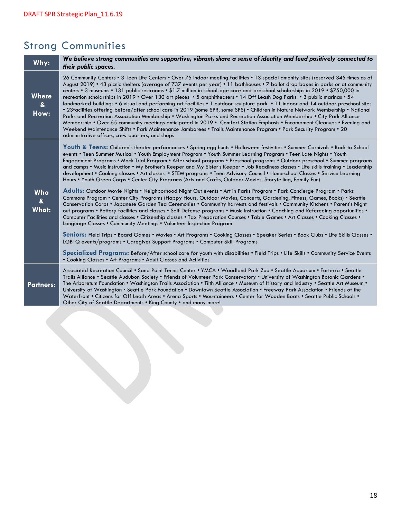# Strong Communities

| Why:                                               | We believe strong communities are supportive, vibrant, share a sense of identity and feed positively connected to<br>their public spaces.                                                                                                                                                                                                                                                                                                                                                                                                                                                                                                                                                                                                                                                                                                                                                                                                                                                                                                                                                                                                                                                                                                              |
|----------------------------------------------------|--------------------------------------------------------------------------------------------------------------------------------------------------------------------------------------------------------------------------------------------------------------------------------------------------------------------------------------------------------------------------------------------------------------------------------------------------------------------------------------------------------------------------------------------------------------------------------------------------------------------------------------------------------------------------------------------------------------------------------------------------------------------------------------------------------------------------------------------------------------------------------------------------------------------------------------------------------------------------------------------------------------------------------------------------------------------------------------------------------------------------------------------------------------------------------------------------------------------------------------------------------|
| <b>Where</b><br>$\boldsymbol{\mathcal{S}}$<br>How: | 26 Community Centers • 3 Teen Life Centers • Over 75 indoor meeting facilities • 13 special amenity sites (reserved 345 times as of<br>August 2019) • 43 picnic shelters (average of 737 events per year) • 11 bathhouses • 7 ballot drop boxes in parks or at community<br>centers • 3 museums • 131 public restrooms • \$1.7 million in school-age care and preschool scholarships in 2019 • \$750,000 in<br>recreation scholarships in 2019 • Over 130 art pieces • 5 amphitheaters • 14 Off Leash Dog Parks • 3 public marinas • 54<br>landmarked buildings • 6 visual and performing art facilities • 1 outdoor sculpture park • 11 indoor and 14 outdoor preschool sites<br>• 23facilities offering before/after school care in 2019 (some SPR, some SPS) • Children in Nature Network Membership • National<br>Parks and Recreation Association Membership . Washington Parks and Recreation Association Membership . City Park Alliance<br>Membership • Over 65 community meetings anticipated in 2019 • Comfort Station Emphasis • Encampment Cleanups • Evening and<br>Weekend Maintenance Shifts • Park Maintenance Jamborees • Trails Maintenance Program • Park Security Program • 20<br>administrative offices, crew quarters, and shops |
|                                                    | Youth & Teens: Children's theater performances • Spring egg hunts • Halloween festivities • Summer Carnivals • Back to School<br>events • Teen Summer Musical • Youth Employment Program • Youth Summer Learning Program • Teen Late Nights • Youth<br>Engagement Programs • Mock Trial Program • After school programs • Preschool programs • Outdoor preschool • Summer programs<br>and camps • Music Instruction • My Brother's Keeper and My Sister's Keeper • Job Readiness classes • Life skills training • Leadership<br>development • Cooking classes • Art classes • STEM programs • Teen Advisory Council • Homeschool Classes • Service Learning<br>Hours . Youth Green Corps . Center City Programs (Arts and Crafts, Outdoor Movies, Storytelling, Family Fun)                                                                                                                                                                                                                                                                                                                                                                                                                                                                            |
| <b>Who</b><br>$\boldsymbol{\mathcal{S}}$<br>What:  | Adults: Outdoor Movie Nights • Neighborhood Night Out events • Art in Parks Program • Park Concierge Program • Parks<br>Commons Program • Center City Programs (Happy Hours, Outdoor Movies, Concerts, Gardening, Fitness, Games, Books) • Seattle<br>Conservation Corps • Japanese Garden Tea Ceremonies • Community harvests and festivals • Community Kitchens • Parent's Night<br>out programs • Pottery facilities and classes • Self Defense programs • Music Instruction • Coaching and Refereeing opportunities •<br>Computer Facilities and classes • Citizenship classes • Tax Preparation Courses • Table Games • Art Classes • Cooking Classes •<br>Language Classes • Community Meetings • Volunteer Inspection Program                                                                                                                                                                                                                                                                                                                                                                                                                                                                                                                   |
|                                                    | Seniors: Field Trips . Board Games . Movies . Art Programs . Cooking Classes . Speaker Series . Book Clubs . Life Skills Classes .<br>LGBTQ events/programs • Caregiver Support Programs • Computer Skill Programs                                                                                                                                                                                                                                                                                                                                                                                                                                                                                                                                                                                                                                                                                                                                                                                                                                                                                                                                                                                                                                     |
|                                                    | Specialized Programs: Before/After school care for youth with disabilities • Field Trips • Life Skills • Community Service Events<br>• Cooking Classes • Art Programs • Adult Classes and Activities                                                                                                                                                                                                                                                                                                                                                                                                                                                                                                                                                                                                                                                                                                                                                                                                                                                                                                                                                                                                                                                   |
| <b>Partners:</b>                                   | Associated Recreation Council • Sand Point Tennis Center • YMCA • Woodland Park Zoo • Seattle Aquarium • Forterra • Seattle<br>Trails Alliance • Seattle Audubon Society • Friends of Volunteer Park Conservatory • University of Washington Botanic Gardens •<br>The Arboretum Foundation • Washington Trails Association • Tilth Alliance • Museum of History and Industry • Seattle Art Museum •<br>University of Washington • Seattle Park Foundation • Downtown Seattle Association • Freeway Park Association • Friends of the<br>Waterfront . Citizens for Off Leash Areas . Arena Sports . Mountaineers . Center for Wooden Boats . Seattle Public Schools .<br>Other City of Seattle Departments . King County . and many more!                                                                                                                                                                                                                                                                                                                                                                                                                                                                                                               |
|                                                    |                                                                                                                                                                                                                                                                                                                                                                                                                                                                                                                                                                                                                                                                                                                                                                                                                                                                                                                                                                                                                                                                                                                                                                                                                                                        |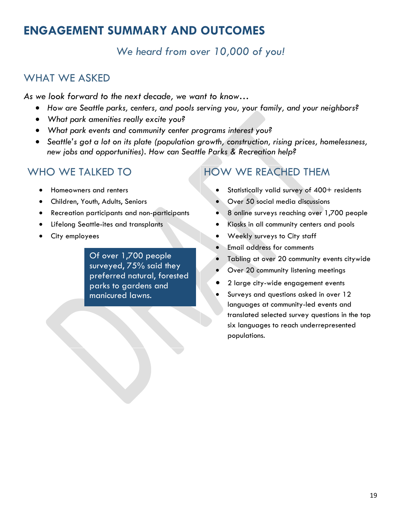### **ENGAGEMENT SUMMARY AND OUTCOMES** Ξ

# *We heard from over 10,000 of you!*

### WHAT WF ASKED

*As we look forward to the next decade, we want to know…*

- *How are Seattle parks, centers, and pools serving you, your family, and your neighbors?*
- *What park amenities really excite you?*
- *What park events and community center programs interest you?*
- *Seattle's got a lot on its plate (population growth, construction, rising prices, homelessness, new jobs and opportunities). How can Seattle Parks & Recreation help?*

# WHO WE TALKED TO

- Homeowners and renters
- Children, Youth, Adults, Seniors
- Recreation participants and non-participants
- Lifelong Seattle-ites and transplants
- City employees

Of over 1,700 people surveyed, 75% said they preferred natural, forested parks to gardens and manicured lawns.

# HOW WE REACHED THEM

- Statistically valid survey of 400+ residents
- Over 50 social media discussions
- 8 online surveys reaching over 1,700 people
- Kiosks in all community centers and pools
- Weekly surveys to City staff
- Email address for comments
- Tabling at over 20 community events citywide
- Over 20 community listening meetings
- 2 large city-wide engagement events
- Surveys and questions asked in over 12 languages at community-led events and translated selected survey questions in the top six languages to reach underrepresented populations.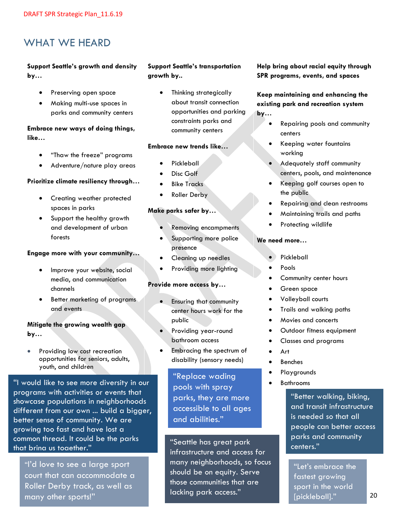## WHAT WE HEARD

#### **Support Seattle's growth and density by…**

- Preserving open space
- Making multi-use spaces in parks and community centers

#### **Embrace new ways of doing things, like…**

- "Thaw the freeze" programs
- Adventure/nature play areas

#### **Prioritize climate resiliency through…**

- Creating weather protected spaces in parks
- Support the healthy growth and development of urban forests

#### **Engage more with your community…**

- Improve your website, social media, and communication channels
- Better marketing of programs and events

#### **Mitigate the growing wealth gap by…**

Providing low cost recreation opportunities for seniors, adults, youth, and children

"I would like to see more diversity in our **Figure 10 and 10 and 10 and 10 and 10 and 10 and 10 and 10 and 10 and 10 and 10 and 10 and 10 and 10 and 10 and 10 and 10 and 10 and 10 and 10 and 10 and 10 and 10 and 10 and 10** programs with activities or events that showcase populations in neighborhoods different from our own ... build a bigger, better sense of community. We are growing too fast and have lost a common thread. It could be the parks that bring us together."

"I'd love to see a large sport court that can accommodate a Roller Derby track, as well as many other sports!"

#### **Support Seattle's transportation growth by..**

• Thinking strategically about transit connection opportunities and parking constraints parks and community centers

#### **Embrace new trends like…**

- **Pickleball**
- Disc Golf
- **Bike Tracks**
- Roller Derby

#### **Make parks safer by…**

- Removing encampments
- Supporting more police presence
- Cleaning up needles
- Providing more lighting

#### **Provide more access by…**

- Ensuring that community center hours work for the public
- Providing year-round bathroom access
- Embracing the spectrum of disability (sensory needs)

"Replace wading pools with spray parks, they are more accessible to all ages and abilities."

"Seattle has great park infrastructure and access for many neighborhoods, so focus should be on equity. Serve those communities that are lacking park access."

**Help bring about racial equity through SPR programs, events, and spaces**

### **Keep maintaining and enhancing the existing park and recreation system**

- **by…**
	- Repairing pools and community centers
	- Keeping water fountains working
	- Adequately staff community centers, pools, and maintenance
	- Keeping golf courses open to the public
	- Repairing and clean restrooms
	- Maintaining trails and paths
	- Protecting wildlife

#### **We need more…**

- **Pickleball**
- Pools
- Community center hours
- Green space
- Volleyball courts
- Trails and walking paths
- Movies and concerts
- Outdoor fitness equipment
- Classes and programs
- Art
- Benches
- Playgrounds
- 

"Better walking, biking, and transit infrastructure is needed so that all people can better access parks and community centers."

"Let's embrace the fastest growing sport in the world [pickleball]."